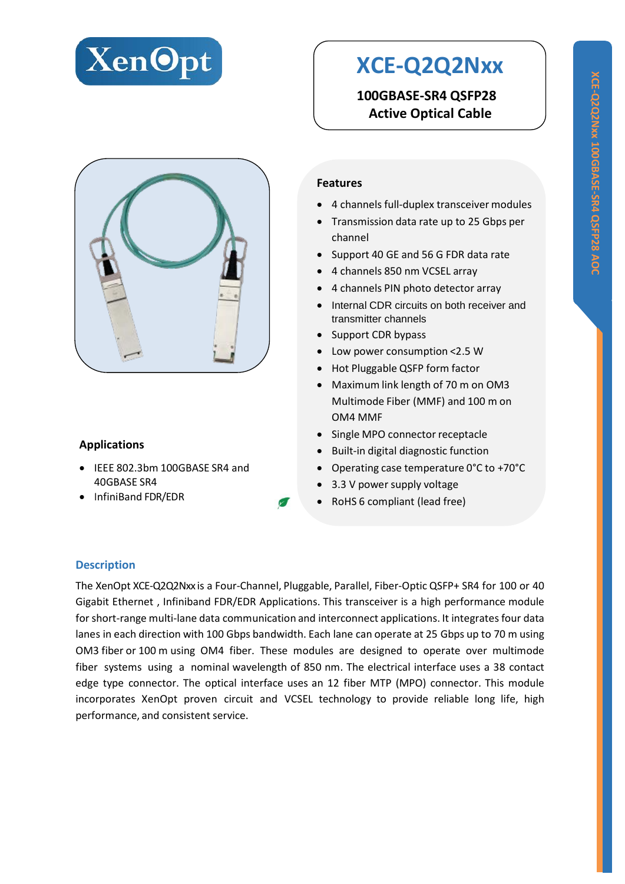

# **XCE-Q2Q2Nxx**

**100GBASE-SR4 QSFP28 Active Optical Cable**



# **Applications**

- IEEE 802.3bm 100GBASE SR4 and 40GBASE SR4
- InfiniBand FDR/EDR

## **Features**

- 4 channels full-duplex transceiver modules
- Transmission data rate up to 25 Gbps per channel
- Support 40 GE and 56 G FDR data rate
- 4 channels 850 nm VCSEL array
- 4 channels PIN photo detector array
- Internal CDR circuits on both receiver and transmitter channels
- Support CDR bypass
- Low power consumption <2.5 W
- Hot Pluggable QSFP form factor
- Maximum link length of 70 m on OM3 Multimode Fiber (MMF) and 100 m on OM4 MMF
- Single MPO connector receptacle
- Built-in digital diagnostic function
- Operating case temperature 0°C to +70°C
- 3.3 V power supply voltage
- RoHS 6 compliant (lead free)

#### **Description**

The XenOpt XCE-Q2Q2Nxx is a Four-Channel, Pluggable, Parallel, Fiber-Optic QSFP+ SR4 for 100 or 40 Gigabit Ethernet , Infiniband FDR/EDR Applications. This transceiver is a high performance module forshort-range multi-lane data communication and interconnect applications. It integrates four data lanes in each direction with 100 Gbps bandwidth. Each lane can operate at 25 Gbps up to 70 m using OM3 fiber or 100 m using OM4 fiber. These modules are designed to operate over multimode fiber systems using a nominal wavelength of 850 nm. The electrical interface uses a 38 contact edge type connector. The optical interface uses an 12 fiber MTP (MPO) connector. This module incorporates XenOpt proven circuit and VCSEL technology to provide reliable long life, high performance, and consistent service.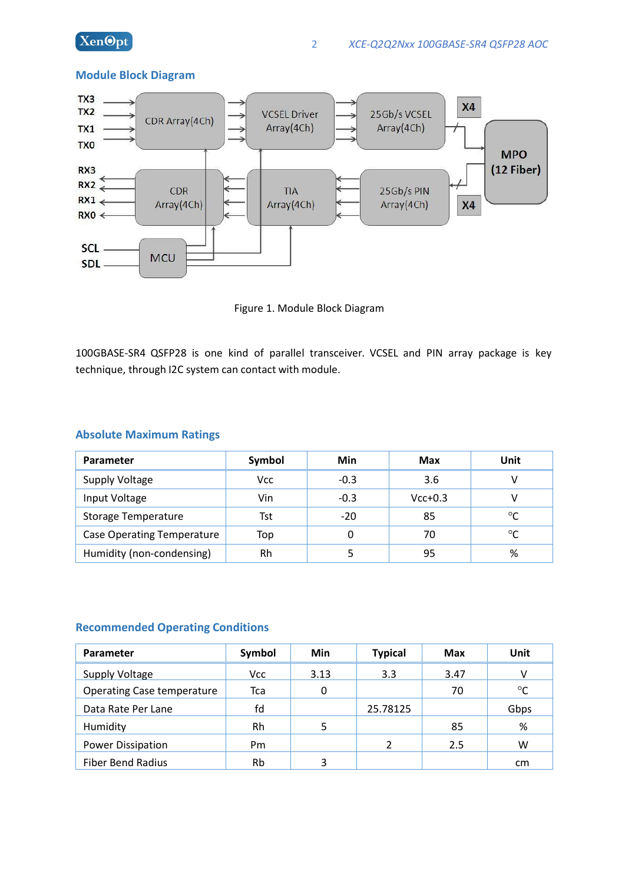

#### **Module Block Diagram**



Figure 1. Module Block Diagram

100GBASE-SR4 QSFP28 is one kind of parallel transceiver. VCSEL and PIN array package is key technique, through I2C system can contact with module.

#### **Absolute Maximum Ratings**

| Parameter                         | Symbol | Min    | <b>Max</b> | Unit    |
|-----------------------------------|--------|--------|------------|---------|
| Supply Voltage                    | Vcc    | $-0.3$ | 3.6        |         |
| Input Voltage                     | Vin    | $-0.3$ | $Vcc+0.3$  |         |
| <b>Storage Temperature</b>        | Tst    | $-20$  | 85         | $\circ$ |
| <b>Case Operating Temperature</b> | Top    |        | 70         | $\circ$ |
| Humidity (non-condensing)         | Rh     |        | 95         | %       |

#### **Recommended Operating Conditions**

| Parameter                         | Symbol     | Min  | <b>Typical</b> | <b>Max</b> | Unit        |
|-----------------------------------|------------|------|----------------|------------|-------------|
| Supply Voltage                    | <b>Vcc</b> | 3.13 | 3.3            | 3.47       |             |
| <b>Operating Case temperature</b> | Tca        |      |                | 70         | $^{\circ}C$ |
| Data Rate Per Lane                | fd         |      | 25.78125       |            | Gbps        |
| Humidity                          | Rh         | 5    |                | 85         | %           |
| Power Dissipation                 | Pm         |      | າ              | 2.5        | w           |
| <b>Fiber Bend Radius</b>          | Rb         | 3    |                |            | cm          |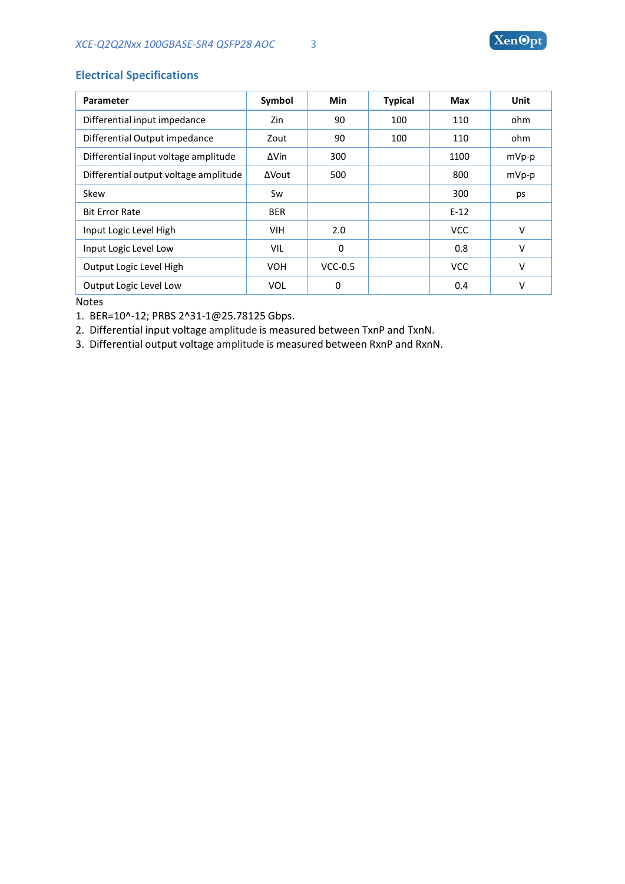## **Electrical Specifications**

| Parameter                             | Symbol     | <b>Min</b> | <b>Typical</b> | Max        | Unit   |
|---------------------------------------|------------|------------|----------------|------------|--------|
| Differential input impedance          | Zin        | 90         | 100            | 110        | ohm    |
| Differential Output impedance         | Zout       | 90         | 100            | 110        | ohm    |
| Differential input voltage amplitude  | ∆Vin       | 300        |                | 1100       | mVp-p  |
| Differential output voltage amplitude | ΔVout      | 500        |                | 800        | mVp-p  |
| Skew                                  | Sw         |            |                | 300        | ps     |
| <b>Bit Error Rate</b>                 | <b>BER</b> |            |                | $E-12$     |        |
| Input Logic Level High                | <b>VIH</b> | 2.0        |                | <b>VCC</b> | $\vee$ |
| Input Logic Level Low                 | VIL        | $\Omega$   |                | 0.8        | v      |
| Output Logic Level High               | <b>VOH</b> | $VCC-0.5$  |                | <b>VCC</b> | $\vee$ |
| Output Logic Level Low                | <b>VOL</b> | 0          |                | 0.4        | $\vee$ |

Notes

1. BER=10^-12; PRBS [2^31-1@25.78125](mailto:2%5e31-1@25.78125Gbps) Gbps.

2. Differential input voltage amplitude is measured between TxnP and TxnN.

3. Differential output voltage amplitude is measured between RxnP and RxnN.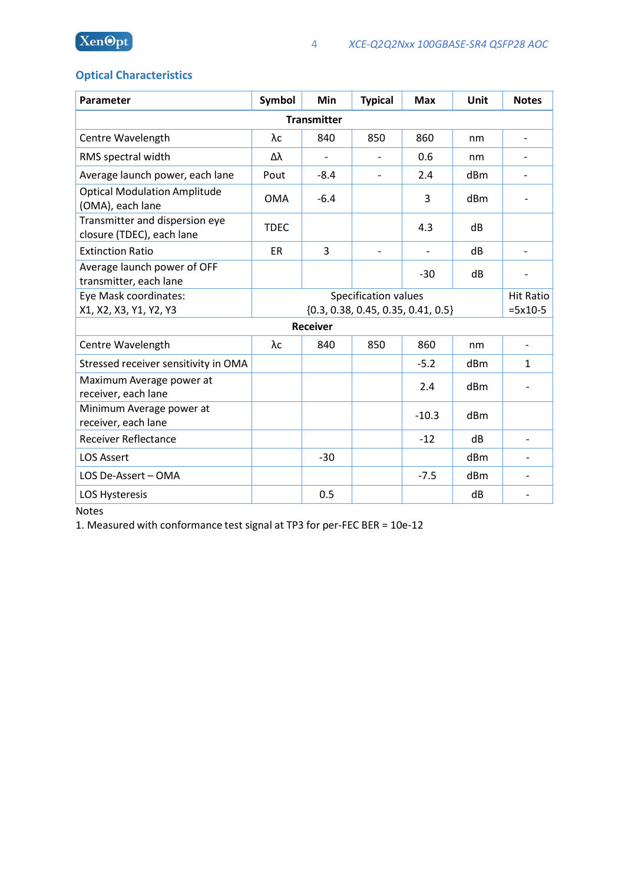# **Optical Characteristics**

| Parameter                                                   | Symbol                               | Min                      | <b>Typical</b> | <b>Max</b> | Unit             | <b>Notes</b>             |
|-------------------------------------------------------------|--------------------------------------|--------------------------|----------------|------------|------------------|--------------------------|
| <b>Transmitter</b>                                          |                                      |                          |                |            |                  |                          |
| Centre Wavelength                                           | $\lambda c$                          | 840                      | 850            | 860        | nm               | $\overline{\phantom{a}}$ |
| RMS spectral width                                          | Δλ                                   | $\overline{\phantom{a}}$ |                | 0.6        | nm               | $\overline{\phantom{a}}$ |
| Average launch power, each lane                             | Pout                                 | $-8.4$                   |                | 2.4        | dBm              |                          |
| <b>Optical Modulation Amplitude</b><br>(OMA), each lane     | <b>OMA</b>                           | $-6.4$                   |                | 3          | dBm              |                          |
| Transmitter and dispersion eye<br>closure (TDEC), each lane | <b>TDEC</b>                          |                          |                | 4.3        | dB               |                          |
| <b>Extinction Ratio</b>                                     | ER                                   | 3                        |                |            | dB               |                          |
| Average launch power of OFF<br>transmitter, each lane       |                                      |                          |                | $-30$      | dB               |                          |
| Eye Mask coordinates:                                       | Specification values                 |                          |                |            | <b>Hit Ratio</b> |                          |
| X1, X2, X3, Y1, Y2, Y3                                      | ${0.3, 0.38, 0.45, 0.35, 0.41, 0.5}$ |                          |                | $=5x10-5$  |                  |                          |
|                                                             |                                      | <b>Receiver</b>          |                |            |                  |                          |
| Centre Wavelength                                           | $\lambda c$                          | 840                      | 850            | 860        | nm               |                          |
| Stressed receiver sensitivity in OMA                        |                                      |                          |                | $-5.2$     | dBm              | 1                        |
| Maximum Average power at<br>receiver, each lane             |                                      |                          |                | 2.4        | dBm              |                          |
| Minimum Average power at<br>receiver, each lane             |                                      |                          |                | $-10.3$    | dBm              |                          |
| <b>Receiver Reflectance</b>                                 |                                      |                          |                | $-12$      | dB               | $\overline{\phantom{a}}$ |
| <b>LOS Assert</b>                                           |                                      | $-30$                    |                |            | dBm              |                          |
| LOS De-Assert - OMA                                         |                                      |                          |                | $-7.5$     | dBm              |                          |
| LOS Hysteresis                                              |                                      | 0.5                      |                |            | dB               |                          |
|                                                             |                                      |                          |                |            |                  |                          |

Notes

1. Measured with conformance test signal at TP3 for per-FEC BER = 10e-12